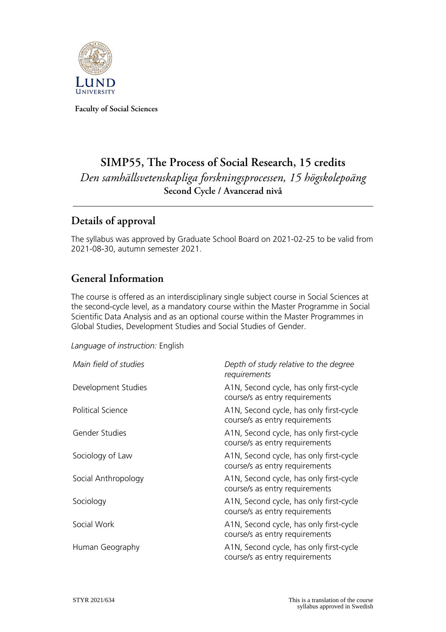

**Faculty of Social Sciences**

# **SIMP55, The Process of Social Research, 15 credits** *Den samhällsvetenskapliga forskningsprocessen, 15 högskolepoäng* **Second Cycle / Avancerad nivå**

# **Details of approval**

The syllabus was approved by Graduate School Board on 2021-02-25 to be valid from 2021-08-30, autumn semester 2021.

# **General Information**

The course is offered as an interdisciplinary single subject course in Social Sciences at the second-cycle level, as a mandatory course within the Master Programme in Social Scientific Data Analysis and as an optional course within the Master Programmes in Global Studies, Development Studies and Social Studies of Gender.

#### *Language of instruction:* English

| Main field of studies    | Depth of study relative to the degree<br>requirements                     |
|--------------------------|---------------------------------------------------------------------------|
| Development Studies      | A1N, Second cycle, has only first-cycle<br>course/s as entry requirements |
| <b>Political Science</b> | A1N, Second cycle, has only first-cycle<br>course/s as entry requirements |
| Gender Studies           | A1N, Second cycle, has only first-cycle<br>course/s as entry requirements |
| Sociology of Law         | A1N, Second cycle, has only first-cycle<br>course/s as entry requirements |
| Social Anthropology      | A1N, Second cycle, has only first-cycle<br>course/s as entry requirements |
| Sociology                | A1N, Second cycle, has only first-cycle<br>course/s as entry requirements |
| Social Work              | A1N, Second cycle, has only first-cycle<br>course/s as entry requirements |
| Human Geography          | A1N, Second cycle, has only first-cycle<br>course/s as entry requirements |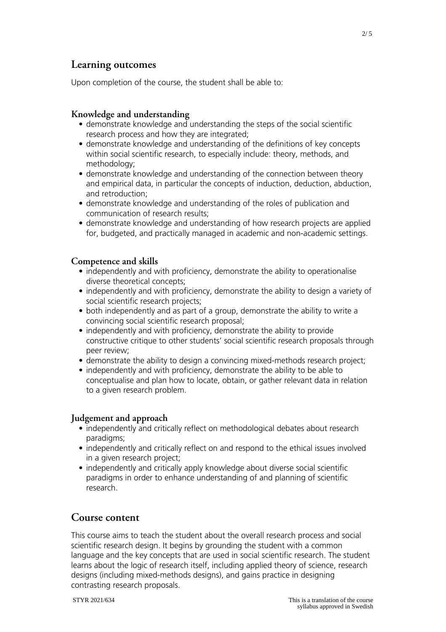### **Learning outcomes**

Upon completion of the course, the student shall be able to:

#### **Knowledge and understanding**

- demonstrate knowledge and understanding the steps of the social scientific research process and how they are integrated;
- demonstrate knowledge and understanding of the definitions of key concepts within social scientific research, to especially include: theory, methods, and methodology;
- demonstrate knowledge and understanding of the connection between theory and empirical data, in particular the concepts of induction, deduction, abduction, and retroduction;
- demonstrate knowledge and understanding of the roles of publication and communication of research results;
- demonstrate knowledge and understanding of how research projects are applied for, budgeted, and practically managed in academic and non-academic settings.

#### **Competence and skills**

- independently and with proficiency, demonstrate the ability to operationalise diverse theoretical concepts;
- independently and with proficiency, demonstrate the ability to design a variety of social scientific research projects;
- both independently and as part of a group, demonstrate the ability to write a convincing social scientific research proposal;
- independently and with proficiency, demonstrate the ability to provide constructive critique to other students' social scientific research proposals through peer review;
- demonstrate the ability to design a convincing mixed-methods research project;
- independently and with proficiency, demonstrate the ability to be able to conceptualise and plan how to locate, obtain, or gather relevant data in relation to a given research problem.

#### **Judgement and approach**

- independently and critically reflect on methodological debates about research paradigms;
- independently and critically reflect on and respond to the ethical issues involved in a given research project;
- independently and critically apply knowledge about diverse social scientific paradigms in order to enhance understanding of and planning of scientific research.

### **Course content**

This course aims to teach the student about the overall research process and social scientific research design. It begins by grounding the student with a common language and the key concepts that are used in social scientific research. The student learns about the logic of research itself, including applied theory of science, research designs (including mixed-methods designs), and gains practice in designing contrasting research proposals.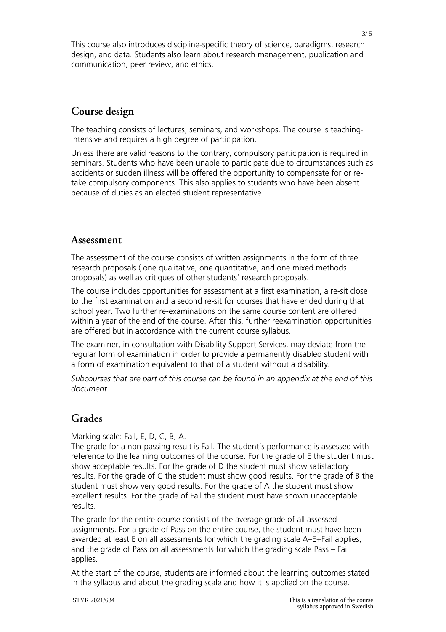This course also introduces discipline-specific theory of science, paradigms, research design, and data. Students also learn about research management, publication and communication, peer review, and ethics.

# **Course design**

The teaching consists of lectures, seminars, and workshops. The course is teachingintensive and requires a high degree of participation.

Unless there are valid reasons to the contrary, compulsory participation is required in seminars. Students who have been unable to participate due to circumstances such as accidents or sudden illness will be offered the opportunity to compensate for or retake compulsory components. This also applies to students who have been absent because of duties as an elected student representative.

### **Assessment**

The assessment of the course consists of written assignments in the form of three research proposals ( one qualitative, one quantitative, and one mixed methods proposals) as well as critiques of other students' research proposals.

The course includes opportunities for assessment at a first examination, a re-sit close to the first examination and a second re-sit for courses that have ended during that school year. Two further re-examinations on the same course content are offered within a year of the end of the course. After this, further reexamination opportunities are offered but in accordance with the current course syllabus.

The examiner, in consultation with Disability Support Services, may deviate from the regular form of examination in order to provide a permanently disabled student with a form of examination equivalent to that of a student without a disability.

*Subcourses that are part of this course can be found in an appendix at the end of this document.*

### **Grades**

Marking scale: Fail, E, D, C, B, A.

The grade for a non-passing result is Fail. The student's performance is assessed with reference to the learning outcomes of the course. For the grade of E the student must show acceptable results. For the grade of D the student must show satisfactory results. For the grade of C the student must show good results. For the grade of B the student must show very good results. For the grade of A the student must show excellent results. For the grade of Fail the student must have shown unacceptable results.

The grade for the entire course consists of the average grade of all assessed assignments. For a grade of Pass on the entire course, the student must have been awarded at least E on all assessments for which the grading scale A–E+Fail applies, and the grade of Pass on all assessments for which the grading scale Pass – Fail applies.

At the start of the course, students are informed about the learning outcomes stated in the syllabus and about the grading scale and how it is applied on the course.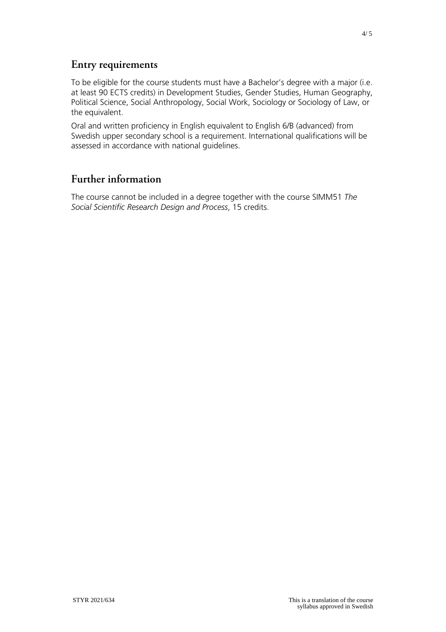### **Entry requirements**

To be eligible for the course students must have a Bachelor's degree with a major (i.e. at least 90 ECTS credits) in Development Studies, Gender Studies, Human Geography, Political Science, Social Anthropology, Social Work, Sociology or Sociology of Law, or the equivalent.

Oral and written proficiency in English equivalent to English 6/B (advanced) from Swedish upper secondary school is a requirement. International qualifications will be assessed in accordance with national guidelines.

## **Further information**

The course cannot be included in a degree together with the course SIMM51 *The Social Scientific Research Design and Process*, 15 credits.